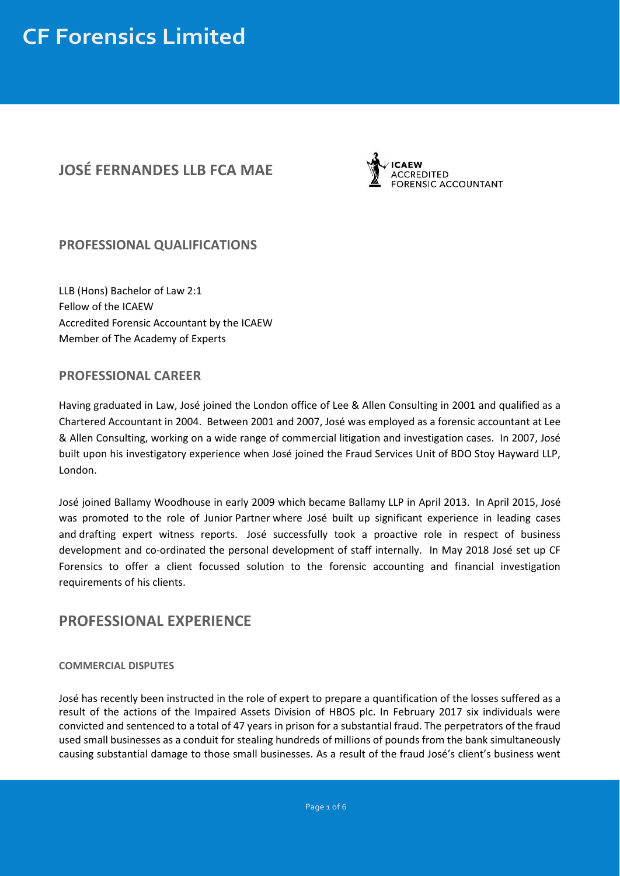### **JOSÉ FERNANDES LLB FCA MAE**



#### **PROFESSIONAL QUALIFICATIONS**

LLB (Hons) Bachelor of Law 2:1 Fellow of the ICAEW Accredited Forensic Accountant by the ICAEW Member of The Academy of Experts

#### **PROFESSIONAL CAREER**

Having graduated in Law, José joined the London office of Lee & Allen Consulting in 2001 and qualified as a Chartered Accountant in 2004. Between 2001 and 2007, José was employed as a forensic accountant at Lee & Allen Consulting, working on a wide range of commercial litigation and investigation cases. In 2007, José built upon his investigatory experience when José joined the Fraud Services Unit of BDO Stoy Hayward LLP, London.

José joined Ballamy Woodhouse in early 2009 which became Ballamy LLP in April 2013. In April 2015, José was promoted to the role of Junior Partner where José built up significant experience in leading cases and drafting expert witness reports. José successfully took a proactive role in respect of business development and co-ordinated the personal development of staff internally. In May 2018 José set up CF Forensics to offer a client focussed solution to the forensic accounting and financial investigation requirements of his clients.

#### **PROFESSIONAL EXPERIENCE**

#### **COMMERCIAL DISPUTES**

José has recently been instructed in the role of expert to prepare a quantification of the losses suffered as a result of the actions of the Impaired Assets Division of HBOS plc. In February 2017 six individuals were convicted and sentenced to a total of 47 years in prison for a substantial fraud. The perpetrators of the fraud used small businesses as a conduit for stealing hundreds of millions of pounds from the bank simultaneously causing substantial damage to those small businesses. As a result of the fraud José's client's business went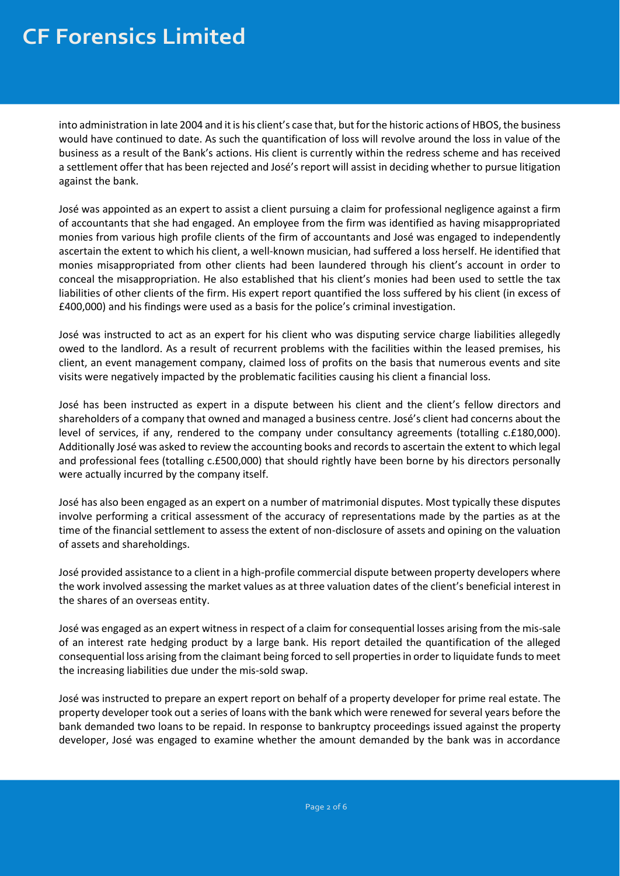into administration in late 2004 and it is his client's case that, but for the historic actions of HBOS, the business would have continued to date. As such the quantification of loss will revolve around the loss in value of the business as a result of the Bank's actions. His client is currently within the redress scheme and has received a settlement offer that has been rejected and José's report will assist in deciding whether to pursue litigation against the bank.

José was appointed as an expert to assist a client pursuing a claim for professional negligence against a firm of accountants that she had engaged. An employee from the firm was identified as having misappropriated monies from various high profile clients of the firm of accountants and José was engaged to independently ascertain the extent to which his client, a well-known musician, had suffered a loss herself. He identified that monies misappropriated from other clients had been laundered through his client's account in order to conceal the misappropriation. He also established that his client's monies had been used to settle the tax liabilities of other clients of the firm. His expert report quantified the loss suffered by his client (in excess of £400,000) and his findings were used as a basis for the police's criminal investigation.

José was instructed to act as an expert for his client who was disputing service charge liabilities allegedly owed to the landlord. As a result of recurrent problems with the facilities within the leased premises, his client, an event management company, claimed loss of profits on the basis that numerous events and site visits were negatively impacted by the problematic facilities causing his client a financial loss.

José has been instructed as expert in a dispute between his client and the client's fellow directors and shareholders of a company that owned and managed a business centre. José's client had concerns about the level of services, if any, rendered to the company under consultancy agreements (totalling c.£180,000). Additionally José was asked to review the accounting books and records to ascertain the extent to which legal and professional fees (totalling c.£500,000) that should rightly have been borne by his directors personally were actually incurred by the company itself.

José has also been engaged as an expert on a number of matrimonial disputes. Most typically these disputes involve performing a critical assessment of the accuracy of representations made by the parties as at the time of the financial settlement to assess the extent of non-disclosure of assets and opining on the valuation of assets and shareholdings.

José provided assistance to a client in a high-profile commercial dispute between property developers where the work involved assessing the market values as at three valuation dates of the client's beneficial interest in the shares of an overseas entity.

José was engaged as an expert witness in respect of a claim for consequential losses arising from the mis-sale of an interest rate hedging product by a large bank. His report detailed the quantification of the alleged consequential loss arising from the claimant being forced to sell properties in order to liquidate funds to meet the increasing liabilities due under the mis-sold swap.

José was instructed to prepare an expert report on behalf of a property developer for prime real estate. The property developer took out a series of loans with the bank which were renewed for several years before the bank demanded two loans to be repaid. In response to bankruptcy proceedings issued against the property developer, José was engaged to examine whether the amount demanded by the bank was in accordance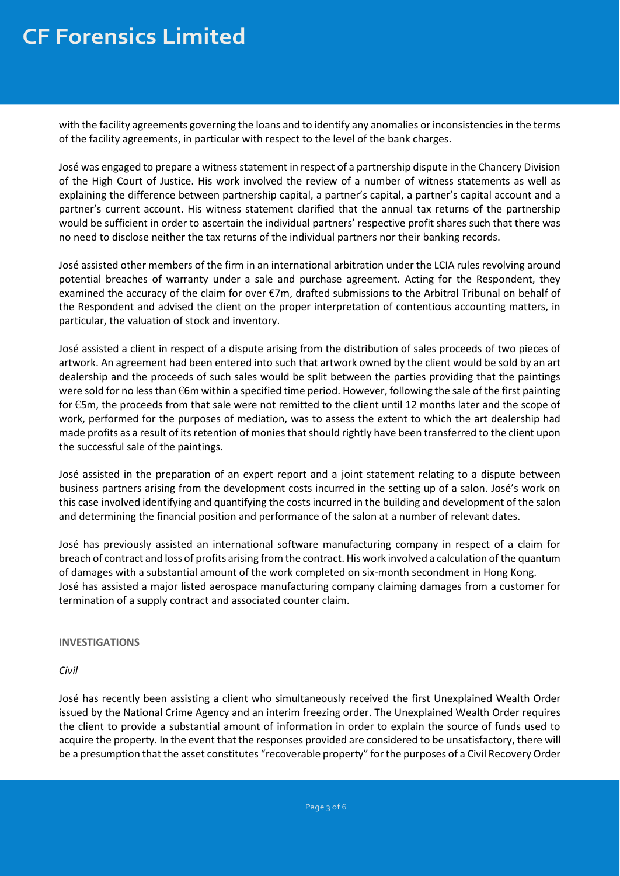with the facility agreements governing the loans and to identify any anomalies or inconsistencies in the terms of the facility agreements, in particular with respect to the level of the bank charges.

José was engaged to prepare a witness statement in respect of a partnership dispute in the Chancery Division of the High Court of Justice. His work involved the review of a number of witness statements as well as explaining the difference between partnership capital, a partner's capital, a partner's capital account and a partner's current account. His witness statement clarified that the annual tax returns of the partnership would be sufficient in order to ascertain the individual partners' respective profit shares such that there was no need to disclose neither the tax returns of the individual partners nor their banking records.

José assisted other members of the firm in an international arbitration under the LCIA rules revolving around potential breaches of warranty under a sale and purchase agreement. Acting for the Respondent, they examined the accuracy of the claim for over €7m, drafted submissions to the Arbitral Tribunal on behalf of the Respondent and advised the client on the proper interpretation of contentious accounting matters, in particular, the valuation of stock and inventory.

José assisted a client in respect of a dispute arising from the distribution of sales proceeds of two pieces of artwork. An agreement had been entered into such that artwork owned by the client would be sold by an art dealership and the proceeds of such sales would be split between the parties providing that the paintings were sold for no less than €6m within a specified time period. However, following the sale of the first painting for €5m, the proceeds from that sale were not remitted to the client until 12 months later and the scope of work, performed for the purposes of mediation, was to assess the extent to which the art dealership had made profits as a result of its retention of monies that should rightly have been transferred to the client upon the successful sale of the paintings.

José assisted in the preparation of an expert report and a joint statement relating to a dispute between business partners arising from the development costs incurred in the setting up of a salon. José's work on this case involved identifying and quantifying the costs incurred in the building and development of the salon and determining the financial position and performance of the salon at a number of relevant dates.

José has previously assisted an international software manufacturing company in respect of a claim for breach of contract and loss of profits arising from the contract. His work involved a calculation of the quantum of damages with a substantial amount of the work completed on six-month secondment in Hong Kong. José has assisted a major listed aerospace manufacturing company claiming damages from a customer for termination of a supply contract and associated counter claim.

**INVESTIGATIONS**

*Civil*

José has recently been assisting a client who simultaneously received the first Unexplained Wealth Order issued by the National Crime Agency and an interim freezing order. The Unexplained Wealth Order requires the client to provide a substantial amount of information in order to explain the source of funds used to acquire the property. In the event that the responses provided are considered to be unsatisfactory, there will be a presumption that the asset constitutes "recoverable property" for the purposes of a Civil Recovery Order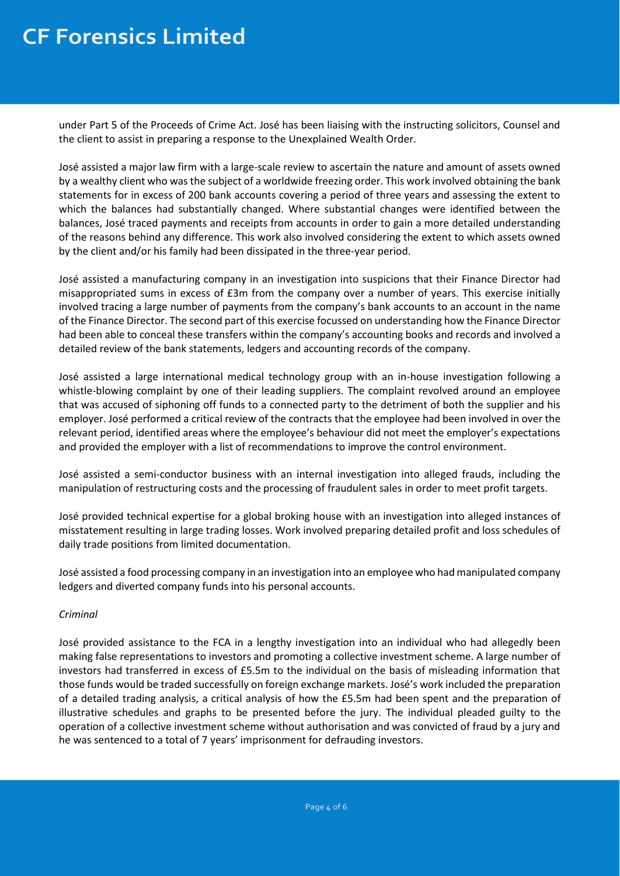under Part 5 of the Proceeds of Crime Act. José has been liaising with the instructing solicitors, Counsel and the client to assist in preparing a response to the Unexplained Wealth Order.

José assisted a major law firm with a large-scale review to ascertain the nature and amount of assets owned by a wealthy client who was the subject of a worldwide freezing order. This work involved obtaining the bank statements for in excess of 200 bank accounts covering a period of three years and assessing the extent to which the balances had substantially changed. Where substantial changes were identified between the balances, José traced payments and receipts from accounts in order to gain a more detailed understanding of the reasons behind any difference. This work also involved considering the extent to which assets owned by the client and/or his family had been dissipated in the three-year period.

José assisted a manufacturing company in an investigation into suspicions that their Finance Director had misappropriated sums in excess of £3m from the company over a number of years. This exercise initially involved tracing a large number of payments from the company's bank accounts to an account in the name of the Finance Director. The second part of this exercise focussed on understanding how the Finance Director had been able to conceal these transfers within the company's accounting books and records and involved a detailed review of the bank statements, ledgers and accounting records of the company.

José assisted a large international medical technology group with an in-house investigation following a whistle-blowing complaint by one of their leading suppliers. The complaint revolved around an employee that was accused of siphoning off funds to a connected party to the detriment of both the supplier and his employer. José performed a critical review of the contracts that the employee had been involved in over the relevant period, identified areas where the employee's behaviour did not meet the employer's expectations and provided the employer with a list of recommendations to improve the control environment.

José assisted a semi-conductor business with an internal investigation into alleged frauds, including the manipulation of restructuring costs and the processing of fraudulent sales in order to meet profit targets.

José provided technical expertise for a global broking house with an investigation into alleged instances of misstatement resulting in large trading losses. Work involved preparing detailed profit and loss schedules of daily trade positions from limited documentation.

José assisted a food processing company in an investigation into an employee who had manipulated company ledgers and diverted company funds into his personal accounts.

#### *Criminal*

José provided assistance to the FCA in a lengthy investigation into an individual who had allegedly been making false representations to investors and promoting a collective investment scheme. A large number of investors had transferred in excess of £5.5m to the individual on the basis of misleading information that those funds would be traded successfully on foreign exchange markets. José's work included the preparation of a detailed trading analysis, a critical analysis of how the £5.5m had been spent and the preparation of illustrative schedules and graphs to be presented before the jury. The individual pleaded guilty to the operation of a collective investment scheme without authorisation and was convicted of fraud by a jury and he was sentenced to a total of 7 years' imprisonment for defrauding investors.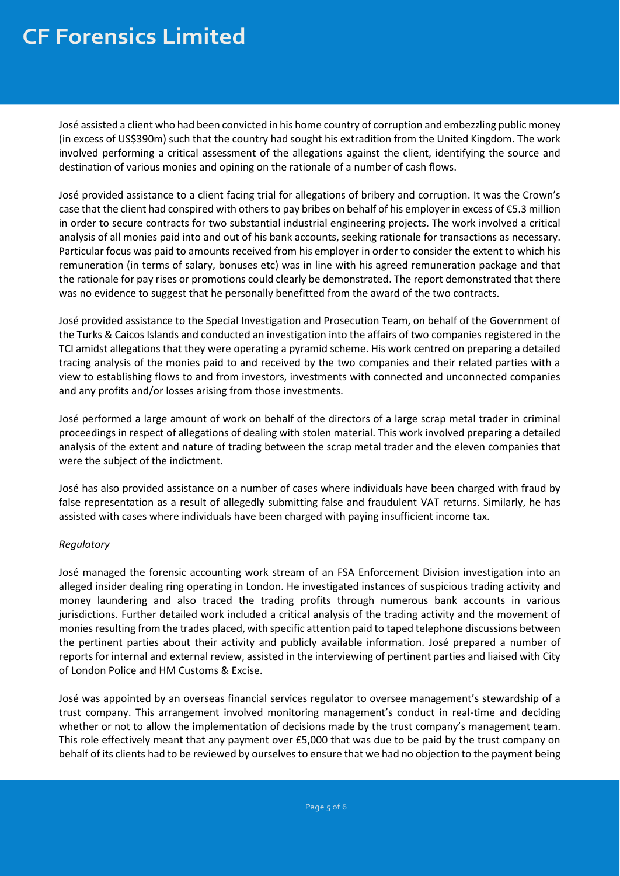José assisted a client who had been convicted in his home country of corruption and embezzling public money (in excess of US\$390m) such that the country had sought his extradition from the United Kingdom. The work involved performing a critical assessment of the allegations against the client, identifying the source and destination of various monies and opining on the rationale of a number of cash flows.

José provided assistance to a client facing trial for allegations of bribery and corruption. It was the Crown's case that the client had conspired with others to pay bribes on behalf of his employer in excess of €5.3 million in order to secure contracts for two substantial industrial engineering projects. The work involved a critical analysis of all monies paid into and out of his bank accounts, seeking rationale for transactions as necessary. Particular focus was paid to amounts received from his employer in order to consider the extent to which his remuneration (in terms of salary, bonuses etc) was in line with his agreed remuneration package and that the rationale for pay rises or promotions could clearly be demonstrated. The report demonstrated that there was no evidence to suggest that he personally benefitted from the award of the two contracts.

José provided assistance to the Special Investigation and Prosecution Team, on behalf of the Government of the Turks & Caicos Islands and conducted an investigation into the affairs of two companies registered in the TCI amidst allegations that they were operating a pyramid scheme. His work centred on preparing a detailed tracing analysis of the monies paid to and received by the two companies and their related parties with a view to establishing flows to and from investors, investments with connected and unconnected companies and any profits and/or losses arising from those investments.

José performed a large amount of work on behalf of the directors of a large scrap metal trader in criminal proceedings in respect of allegations of dealing with stolen material. This work involved preparing a detailed analysis of the extent and nature of trading between the scrap metal trader and the eleven companies that were the subject of the indictment.

José has also provided assistance on a number of cases where individuals have been charged with fraud by false representation as a result of allegedly submitting false and fraudulent VAT returns. Similarly, he has assisted with cases where individuals have been charged with paying insufficient income tax.

#### *Regulatory*

José managed the forensic accounting work stream of an FSA Enforcement Division investigation into an alleged insider dealing ring operating in London. He investigated instances of suspicious trading activity and money laundering and also traced the trading profits through numerous bank accounts in various jurisdictions. Further detailed work included a critical analysis of the trading activity and the movement of monies resulting from the trades placed, with specific attention paid to taped telephone discussions between the pertinent parties about their activity and publicly available information. José prepared a number of reports for internal and external review, assisted in the interviewing of pertinent parties and liaised with City of London Police and HM Customs & Excise.

José was appointed by an overseas financial services regulator to oversee management's stewardship of a trust company. This arrangement involved monitoring management's conduct in real-time and deciding whether or not to allow the implementation of decisions made by the trust company's management team. This role effectively meant that any payment over £5,000 that was due to be paid by the trust company on behalf of its clients had to be reviewed by ourselves to ensure that we had no objection to the payment being